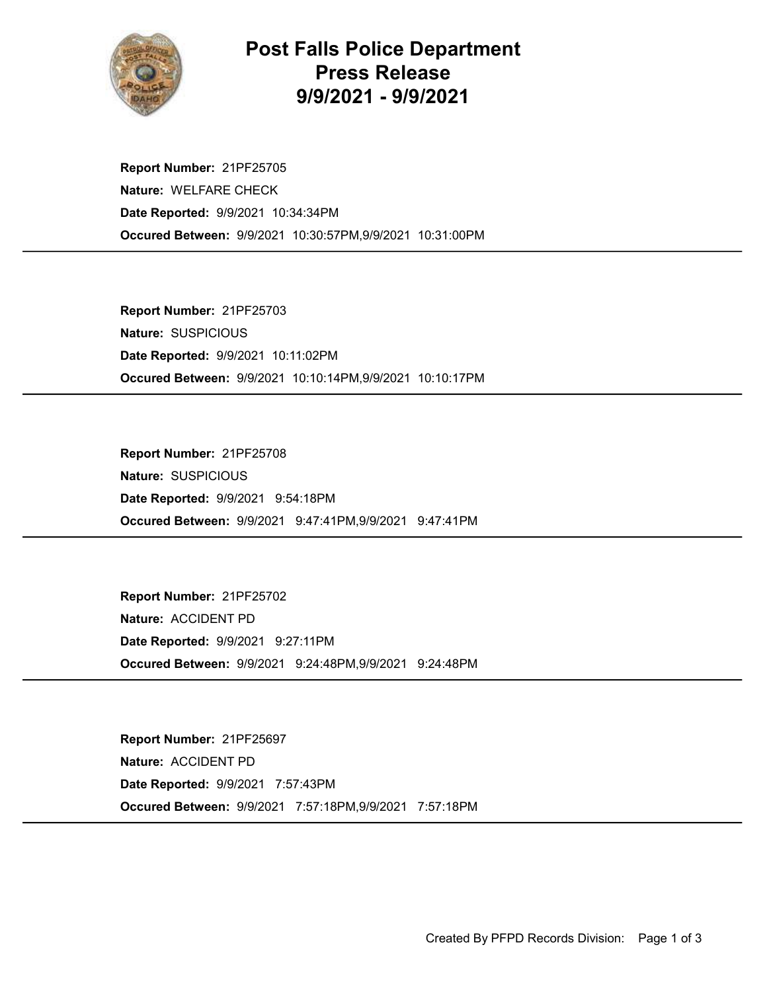

## Post Falls Police Department Press Release 9/9/2021 - 9/9/2021

Occured Between: 9/9/2021 10:30:57PM,9/9/2021 10:31:00PM Report Number: 21PF25705 Nature: WELFARE CHECK Date Reported: 9/9/2021 10:34:34PM

Occured Between: 9/9/2021 10:10:14PM,9/9/2021 10:10:17PM Report Number: 21PF25703 Nature: SUSPICIOUS Date Reported: 9/9/2021 10:11:02PM

Occured Between: 9/9/2021 9:47:41PM,9/9/2021 9:47:41PM Report Number: 21PF25708 Nature: SUSPICIOUS Date Reported: 9/9/2021 9:54:18PM

Occured Between: 9/9/2021 9:24:48PM,9/9/2021 9:24:48PM Report Number: 21PF25702 Nature: ACCIDENT PD Date Reported: 9/9/2021 9:27:11PM

Occured Between: 9/9/2021 7:57:18PM,9/9/2021 7:57:18PM Report Number: 21PF25697 Nature: ACCIDENT PD Date Reported: 9/9/2021 7:57:43PM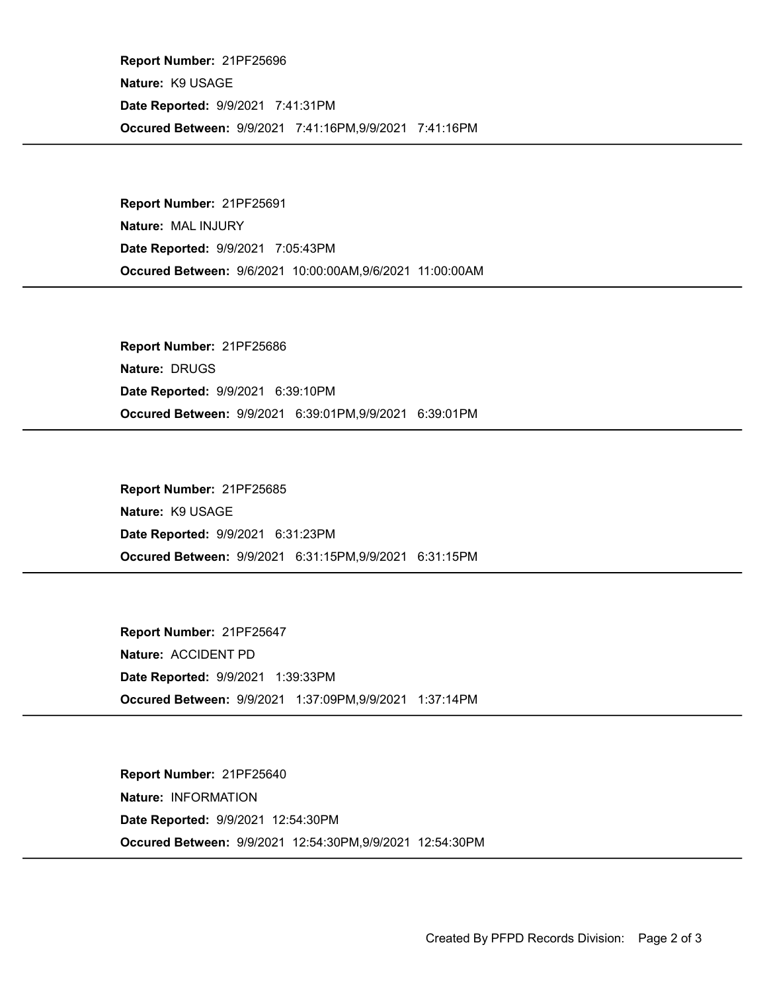Occured Between: 9/9/2021 7:41:16PM,9/9/2021 7:41:16PM Report Number: 21PF25696 Nature: K9 USAGE Date Reported: 9/9/2021 7:41:31PM

Occured Between: 9/6/2021 10:00:00AM,9/6/2021 11:00:00AM Report Number: 21PF25691 Nature: MAL INJURY Date Reported: 9/9/2021 7:05:43PM

Occured Between: 9/9/2021 6:39:01PM,9/9/2021 6:39:01PM Report Number: 21PF25686 Nature: DRUGS Date Reported: 9/9/2021 6:39:10PM

Occured Between: 9/9/2021 6:31:15PM,9/9/2021 6:31:15PM Report Number: 21PF25685 Nature: K9 USAGE Date Reported: 9/9/2021 6:31:23PM

Occured Between: 9/9/2021 1:37:09PM,9/9/2021 1:37:14PM Report Number: 21PF25647 Nature: ACCIDENT PD Date Reported: 9/9/2021 1:39:33PM

Occured Between: 9/9/2021 12:54:30PM,9/9/2021 12:54:30PM Report Number: 21PF25640 Nature: INFORMATION Date Reported: 9/9/2021 12:54:30PM